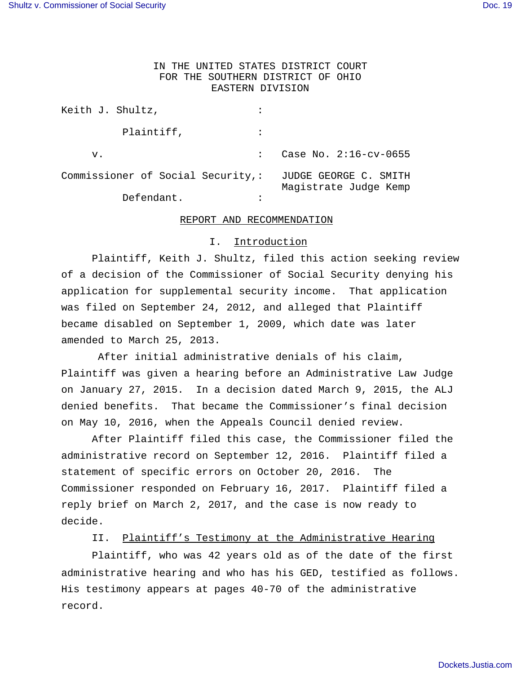# IN THE UNITED STATES DISTRICT COURT FOR THE SOUTHERN DISTRICT OF OHIO EASTERN DIVISION

| Keith J. Shultz,                  |                                                |
|-----------------------------------|------------------------------------------------|
| Plaintiff,                        |                                                |
| v.                                | Case No. $2:16$ -cv-0655                       |
| Commissioner of Social Security,: | JUDGE GEORGE C. SMITH<br>Magistrate Judge Kemp |
| Defendant.                        |                                                |

#### REPORT AND RECOMMENDATION

#### I. Introduction

 Plaintiff, Keith J. Shultz, filed this action seeking review of a decision of the Commissioner of Social Security denying his application for supplemental security income. That application was filed on September 24, 2012, and alleged that Plaintiff became disabled on September 1, 2009, which date was later amended to March 25, 2013.

 After initial administrative denials of his claim, Plaintiff was given a hearing before an Administrative Law Judge on January 27, 2015. In a decision dated March 9, 2015, the ALJ denied benefits. That became the Commissioner's final decision on May 10, 2016, when the Appeals Council denied review.

After Plaintiff filed this case, the Commissioner filed the administrative record on September 12, 2016. Plaintiff filed a statement of specific errors on October 20, 2016. The Commissioner responded on February 16, 2017. Plaintiff filed a reply brief on March 2, 2017, and the case is now ready to decide.

II. Plaintiff's Testimony at the Administrative Hearing

 Plaintiff, who was 42 years old as of the date of the first administrative hearing and who has his GED, testified as follows. His testimony appears at pages 40-70 of the administrative record.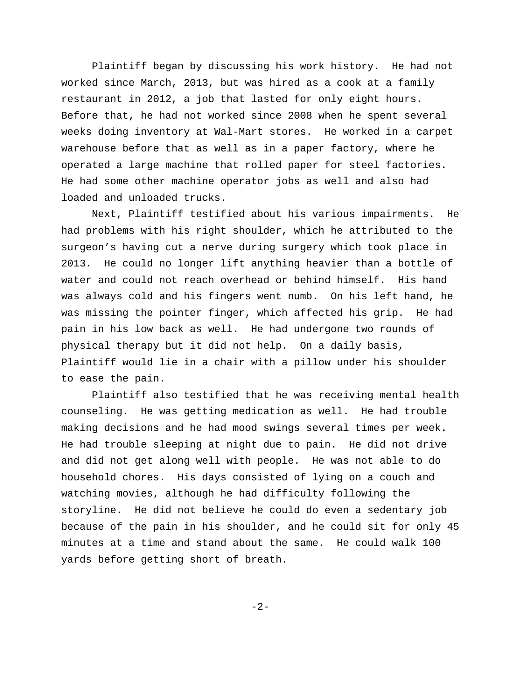Plaintiff began by discussing his work history. He had not worked since March, 2013, but was hired as a cook at a family restaurant in 2012, a job that lasted for only eight hours. Before that, he had not worked since 2008 when he spent several weeks doing inventory at Wal-Mart stores. He worked in a carpet warehouse before that as well as in a paper factory, where he operated a large machine that rolled paper for steel factories. He had some other machine operator jobs as well and also had loaded and unloaded trucks.

Next, Plaintiff testified about his various impairments. He had problems with his right shoulder, which he attributed to the surgeon's having cut a nerve during surgery which took place in 2013. He could no longer lift anything heavier than a bottle of water and could not reach overhead or behind himself. His hand was always cold and his fingers went numb. On his left hand, he was missing the pointer finger, which affected his grip. He had pain in his low back as well. He had undergone two rounds of physical therapy but it did not help. On a daily basis, Plaintiff would lie in a chair with a pillow under his shoulder to ease the pain.

Plaintiff also testified that he was receiving mental health counseling. He was getting medication as well. He had trouble making decisions and he had mood swings several times per week. He had trouble sleeping at night due to pain. He did not drive and did not get along well with people. He was not able to do household chores. His days consisted of lying on a couch and watching movies, although he had difficulty following the storyline. He did not believe he could do even a sedentary job because of the pain in his shoulder, and he could sit for only 45 minutes at a time and stand about the same. He could walk 100 yards before getting short of breath.

-2-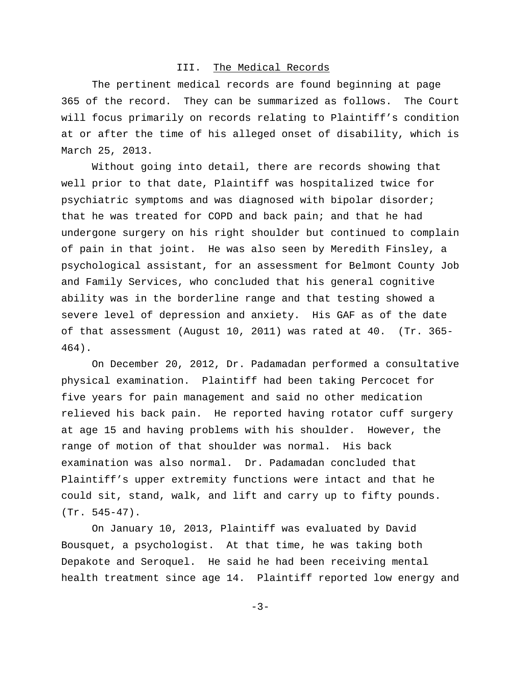#### III. The Medical Records

The pertinent medical records are found beginning at page 365 of the record. They can be summarized as follows. The Court will focus primarily on records relating to Plaintiff's condition at or after the time of his alleged onset of disability, which is March 25, 2013.

Without going into detail, there are records showing that well prior to that date, Plaintiff was hospitalized twice for psychiatric symptoms and was diagnosed with bipolar disorder; that he was treated for COPD and back pain; and that he had undergone surgery on his right shoulder but continued to complain of pain in that joint. He was also seen by Meredith Finsley, a psychological assistant, for an assessment for Belmont County Job and Family Services, who concluded that his general cognitive ability was in the borderline range and that testing showed a severe level of depression and anxiety. His GAF as of the date of that assessment (August 10, 2011) was rated at 40. (Tr. 365- 464).

On December 20, 2012, Dr. Padamadan performed a consultative physical examination. Plaintiff had been taking Percocet for five years for pain management and said no other medication relieved his back pain. He reported having rotator cuff surgery at age 15 and having problems with his shoulder. However, the range of motion of that shoulder was normal. His back examination was also normal. Dr. Padamadan concluded that Plaintiff's upper extremity functions were intact and that he could sit, stand, walk, and lift and carry up to fifty pounds. (Tr. 545-47).

On January 10, 2013, Plaintiff was evaluated by David Bousquet, a psychologist. At that time, he was taking both Depakote and Seroquel. He said he had been receiving mental health treatment since age 14. Plaintiff reported low energy and

 $-3-$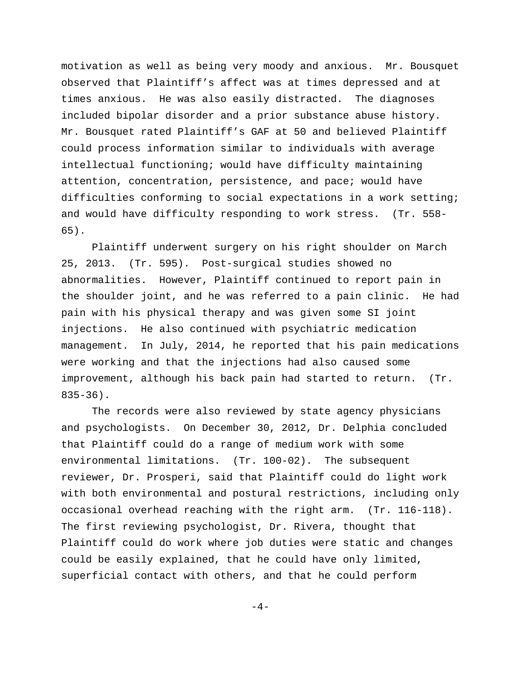motivation as well as being very moody and anxious. Mr. Bousquet observed that Plaintiff's affect was at times depressed and at times anxious. He was also easily distracted. The diagnoses included bipolar disorder and a prior substance abuse history. Mr. Bousquet rated Plaintiff's GAF at 50 and believed Plaintiff could process information similar to individuals with average intellectual functioning; would have difficulty maintaining attention, concentration, persistence, and pace; would have difficulties conforming to social expectations in a work setting; and would have difficulty responding to work stress. (Tr. 558- 65).

Plaintiff underwent surgery on his right shoulder on March 25, 2013. (Tr. 595). Post-surgical studies showed no abnormalities. However, Plaintiff continued to report pain in the shoulder joint, and he was referred to a pain clinic. He had pain with his physical therapy and was given some SI joint injections. He also continued with psychiatric medication management. In July, 2014, he reported that his pain medications were working and that the injections had also caused some improvement, although his back pain had started to return. (Tr. 835-36).

The records were also reviewed by state agency physicians and psychologists. On December 30, 2012, Dr. Delphia concluded that Plaintiff could do a range of medium work with some environmental limitations. (Tr. 100-02). The subsequent reviewer, Dr. Prosperi, said that Plaintiff could do light work with both environmental and postural restrictions, including only occasional overhead reaching with the right arm. (Tr. 116-118). The first reviewing psychologist, Dr. Rivera, thought that Plaintiff could do work where job duties were static and changes could be easily explained, that he could have only limited, superficial contact with others, and that he could perform

 $-4-$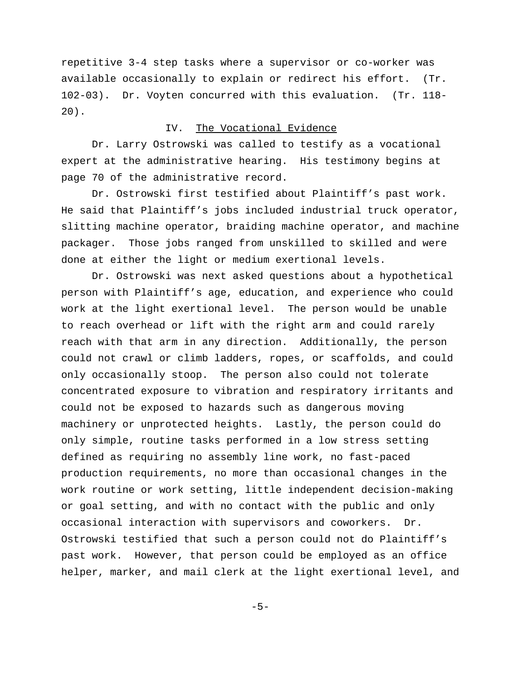repetitive 3-4 step tasks where a supervisor or co-worker was available occasionally to explain or redirect his effort. (Tr. 102-03). Dr. Voyten concurred with this evaluation. (Tr. 118- 20).

# IV. The Vocational Evidence

Dr. Larry Ostrowski was called to testify as a vocational expert at the administrative hearing. His testimony begins at page 70 of the administrative record.

Dr. Ostrowski first testified about Plaintiff's past work. He said that Plaintiff's jobs included industrial truck operator, slitting machine operator, braiding machine operator, and machine packager. Those jobs ranged from unskilled to skilled and were done at either the light or medium exertional levels.

Dr. Ostrowski was next asked questions about a hypothetical person with Plaintiff's age, education, and experience who could work at the light exertional level. The person would be unable to reach overhead or lift with the right arm and could rarely reach with that arm in any direction. Additionally, the person could not crawl or climb ladders, ropes, or scaffolds, and could only occasionally stoop. The person also could not tolerate concentrated exposure to vibration and respiratory irritants and could not be exposed to hazards such as dangerous moving machinery or unprotected heights. Lastly, the person could do only simple, routine tasks performed in a low stress setting defined as requiring no assembly line work, no fast-paced production requirements, no more than occasional changes in the work routine or work setting, little independent decision-making or goal setting, and with no contact with the public and only occasional interaction with supervisors and coworkers. Dr. Ostrowski testified that such a person could not do Plaintiff's past work. However, that person could be employed as an office helper, marker, and mail clerk at the light exertional level, and

 $-5-$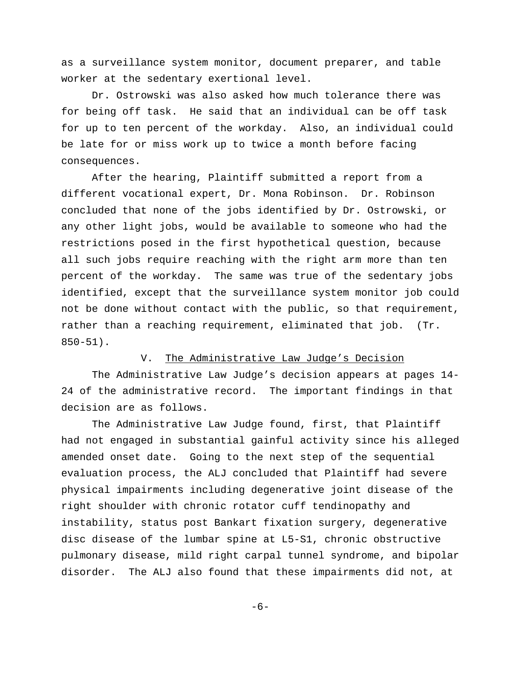as a surveillance system monitor, document preparer, and table worker at the sedentary exertional level.

Dr. Ostrowski was also asked how much tolerance there was for being off task. He said that an individual can be off task for up to ten percent of the workday. Also, an individual could be late for or miss work up to twice a month before facing consequences.

After the hearing, Plaintiff submitted a report from a different vocational expert, Dr. Mona Robinson. Dr. Robinson concluded that none of the jobs identified by Dr. Ostrowski, or any other light jobs, would be available to someone who had the restrictions posed in the first hypothetical question, because all such jobs require reaching with the right arm more than ten percent of the workday. The same was true of the sedentary jobs identified, except that the surveillance system monitor job could not be done without contact with the public, so that requirement, rather than a reaching requirement, eliminated that job. (Tr. 850-51).

#### V. The Administrative Law Judge's Decision

The Administrative Law Judge's decision appears at pages 14- 24 of the administrative record. The important findings in that decision are as follows.

The Administrative Law Judge found, first, that Plaintiff had not engaged in substantial gainful activity since his alleged amended onset date. Going to the next step of the sequential evaluation process, the ALJ concluded that Plaintiff had severe physical impairments including degenerative joint disease of the right shoulder with chronic rotator cuff tendinopathy and instability, status post Bankart fixation surgery, degenerative disc disease of the lumbar spine at L5-S1, chronic obstructive pulmonary disease, mild right carpal tunnel syndrome, and bipolar disorder. The ALJ also found that these impairments did not, at

-6-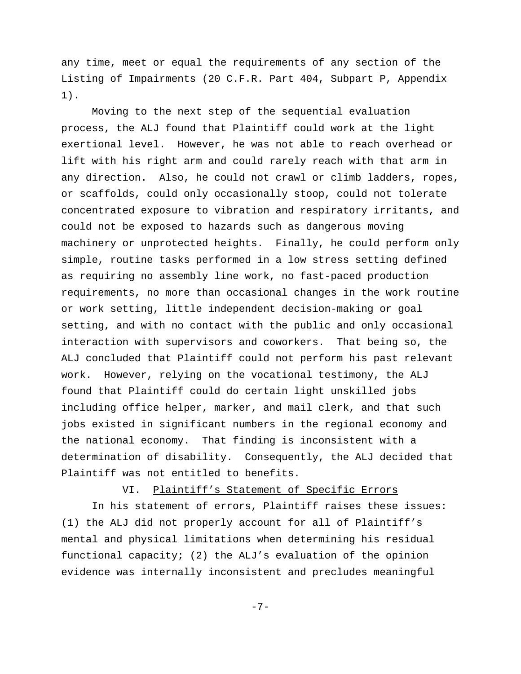any time, meet or equal the requirements of any section of the Listing of Impairments (20 C.F.R. Part 404, Subpart P, Appendix 1).

Moving to the next step of the sequential evaluation process, the ALJ found that Plaintiff could work at the light exertional level. However, he was not able to reach overhead or lift with his right arm and could rarely reach with that arm in any direction. Also, he could not crawl or climb ladders, ropes, or scaffolds, could only occasionally stoop, could not tolerate concentrated exposure to vibration and respiratory irritants, and could not be exposed to hazards such as dangerous moving machinery or unprotected heights. Finally, he could perform only simple, routine tasks performed in a low stress setting defined as requiring no assembly line work, no fast-paced production requirements, no more than occasional changes in the work routine or work setting, little independent decision-making or goal setting, and with no contact with the public and only occasional interaction with supervisors and coworkers. That being so, the ALJ concluded that Plaintiff could not perform his past relevant work. However, relying on the vocational testimony, the ALJ found that Plaintiff could do certain light unskilled jobs including office helper, marker, and mail clerk, and that such jobs existed in significant numbers in the regional economy and the national economy. That finding is inconsistent with a determination of disability. Consequently, the ALJ decided that Plaintiff was not entitled to benefits.

# VI. Plaintiff's Statement of Specific Errors

In his statement of errors, Plaintiff raises these issues: (1) the ALJ did not properly account for all of Plaintiff's mental and physical limitations when determining his residual functional capacity; (2) the ALJ's evaluation of the opinion evidence was internally inconsistent and precludes meaningful

-7-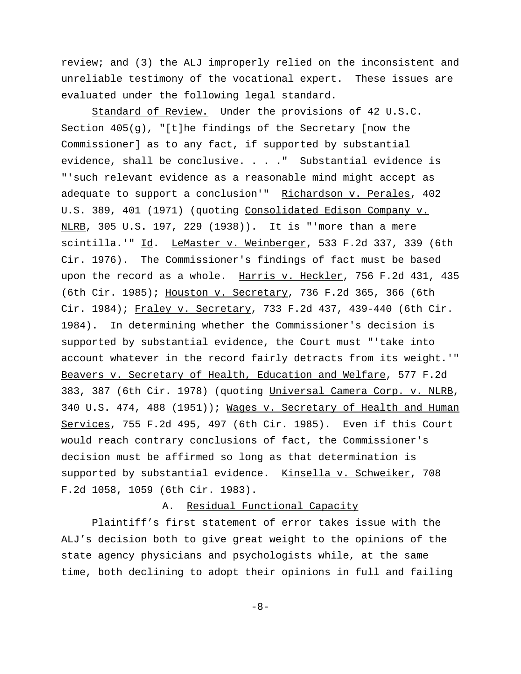review; and (3) the ALJ improperly relied on the inconsistent and unreliable testimony of the vocational expert. These issues are evaluated under the following legal standard.

Standard of Review. Under the provisions of 42 U.S.C. Section  $405(g)$ , "[t]he findings of the Secretary [now the Commissioner] as to any fact, if supported by substantial evidence, shall be conclusive. . . ." Substantial evidence is "'such relevant evidence as a reasonable mind might accept as adequate to support a conclusion'" Richardson v. Perales, 402 U.S. 389, 401 (1971) (quoting Consolidated Edison Company v. NLRB, 305 U.S. 197, 229 (1938)). It is "'more than a mere scintilla.'" Id. LeMaster v. Weinberger, 533 F.2d 337, 339 (6th Cir. 1976). The Commissioner's findings of fact must be based upon the record as a whole. Harris v. Heckler, 756 F.2d 431, 435 (6th Cir. 1985); Houston v. Secretary, 736 F.2d 365, 366 (6th Cir. 1984); Fraley v. Secretary, 733 F.2d 437, 439-440 (6th Cir. 1984). In determining whether the Commissioner's decision is supported by substantial evidence, the Court must "'take into account whatever in the record fairly detracts from its weight.'" Beavers v. Secretary of Health, Education and Welfare, 577 F.2d 383, 387 (6th Cir. 1978) (quoting Universal Camera Corp. v. NLRB, 340 U.S. 474, 488 (1951)); Mages v. Secretary of Health and Human Services, 755 F.2d 495, 497 (6th Cir. 1985). Even if this Court would reach contrary conclusions of fact, the Commissioner's decision must be affirmed so long as that determination is supported by substantial evidence. Kinsella v. Schweiker, 708 F.2d 1058, 1059 (6th Cir. 1983).

#### A. Residual Functional Capacity

Plaintiff's first statement of error takes issue with the ALJ's decision both to give great weight to the opinions of the state agency physicians and psychologists while, at the same time, both declining to adopt their opinions in full and failing

-8-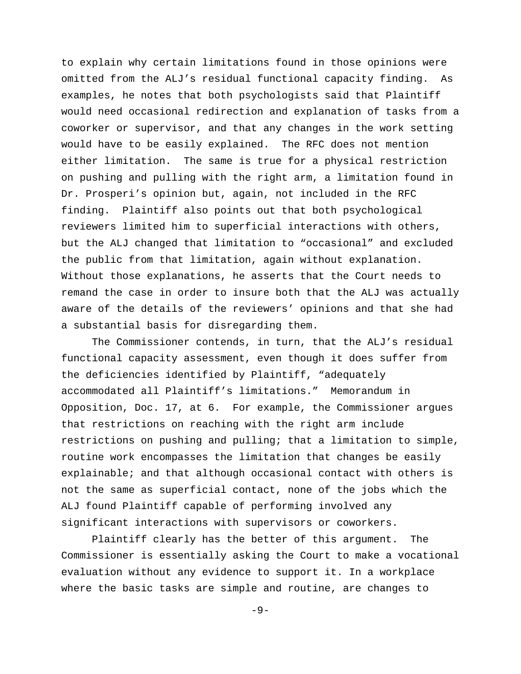to explain why certain limitations found in those opinions were omitted from the ALJ's residual functional capacity finding. As examples, he notes that both psychologists said that Plaintiff would need occasional redirection and explanation of tasks from a coworker or supervisor, and that any changes in the work setting would have to be easily explained. The RFC does not mention either limitation. The same is true for a physical restriction on pushing and pulling with the right arm, a limitation found in Dr. Prosperi's opinion but, again, not included in the RFC finding. Plaintiff also points out that both psychological reviewers limited him to superficial interactions with others, but the ALJ changed that limitation to "occasional" and excluded the public from that limitation, again without explanation. Without those explanations, he asserts that the Court needs to remand the case in order to insure both that the ALJ was actually aware of the details of the reviewers' opinions and that she had a substantial basis for disregarding them.

The Commissioner contends, in turn, that the ALJ's residual functional capacity assessment, even though it does suffer from the deficiencies identified by Plaintiff, "adequately accommodated all Plaintiff's limitations." Memorandum in Opposition, Doc. 17, at 6. For example, the Commissioner argues that restrictions on reaching with the right arm include restrictions on pushing and pulling; that a limitation to simple, routine work encompasses the limitation that changes be easily explainable; and that although occasional contact with others is not the same as superficial contact, none of the jobs which the ALJ found Plaintiff capable of performing involved any significant interactions with supervisors or coworkers.

Plaintiff clearly has the better of this argument. The Commissioner is essentially asking the Court to make a vocational evaluation without any evidence to support it. In a workplace where the basic tasks are simple and routine, are changes to

 $-9-$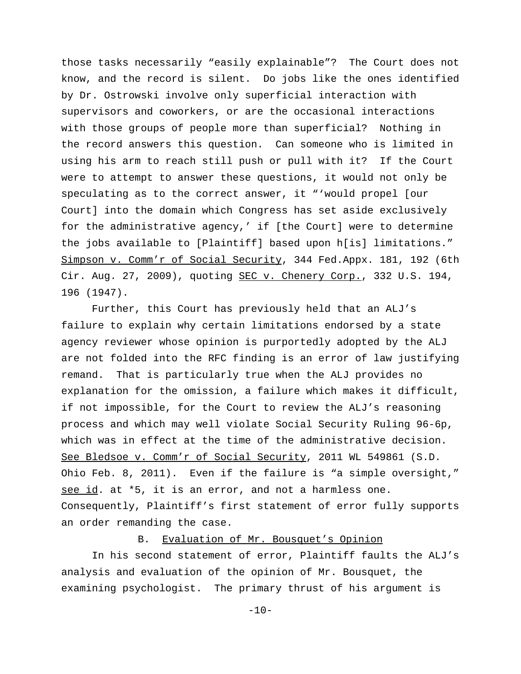those tasks necessarily "easily explainable"? The Court does not know, and the record is silent. Do jobs like the ones identified by Dr. Ostrowski involve only superficial interaction with supervisors and coworkers, or are the occasional interactions with those groups of people more than superficial? Nothing in the record answers this question. Can someone who is limited in using his arm to reach still push or pull with it? If the Court were to attempt to answer these questions, it would not only be speculating as to the correct answer, it "'would propel [our Court] into the domain which Congress has set aside exclusively for the administrative agency,' if [the Court] were to determine the jobs available to [Plaintiff] based upon h[is] limitations." Simpson v. Comm'r of Social Security, 344 Fed.Appx. 181, 192 (6th Cir. Aug. 27, 2009), quoting SEC v. Chenery Corp., 332 U.S. 194, 196 (1947).

Further, this Court has previously held that an ALJ's failure to explain why certain limitations endorsed by a state agency reviewer whose opinion is purportedly adopted by the ALJ are not folded into the RFC finding is an error of law justifying remand. That is particularly true when the ALJ provides no explanation for the omission, a failure which makes it difficult, if not impossible, for the Court to review the ALJ's reasoning process and which may well violate Social Security Ruling 96-6p, which was in effect at the time of the administrative decision. See Bledsoe v. Comm'r of Social Security, 2011 WL 549861 (S.D. Ohio Feb. 8, 2011). Even if the failure is "a simple oversight," see id. at \*5, it is an error, and not a harmless one. Consequently, Plaintiff's first statement of error fully supports an order remanding the case.

## B. Evaluation of Mr. Bousquet's Opinion

In his second statement of error, Plaintiff faults the ALJ's analysis and evaluation of the opinion of Mr. Bousquet, the examining psychologist. The primary thrust of his argument is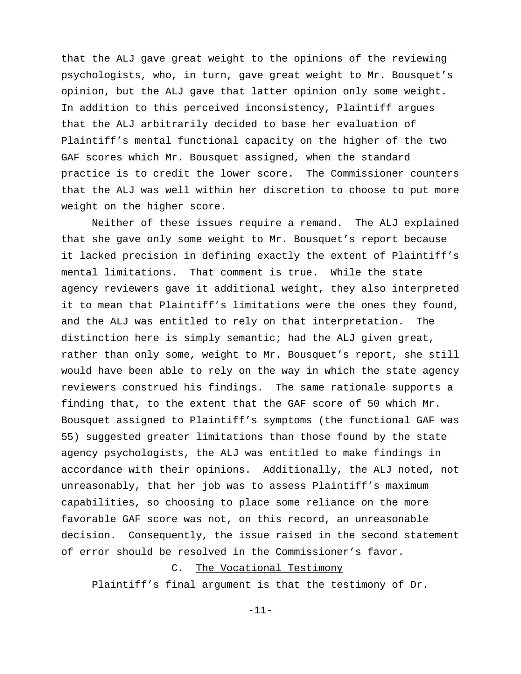that the ALJ gave great weight to the opinions of the reviewing psychologists, who, in turn, gave great weight to Mr. Bousquet's opinion, but the ALJ gave that latter opinion only some weight. In addition to this perceived inconsistency, Plaintiff argues that the ALJ arbitrarily decided to base her evaluation of Plaintiff's mental functional capacity on the higher of the two GAF scores which Mr. Bousquet assigned, when the standard practice is to credit the lower score. The Commissioner counters that the ALJ was well within her discretion to choose to put more weight on the higher score.

Neither of these issues require a remand. The ALJ explained that she gave only some weight to Mr. Bousquet's report because it lacked precision in defining exactly the extent of Plaintiff's mental limitations. That comment is true. While the state agency reviewers gave it additional weight, they also interpreted it to mean that Plaintiff's limitations were the ones they found, and the ALJ was entitled to rely on that interpretation. The distinction here is simply semantic; had the ALJ given great, rather than only some, weight to Mr. Bousquet's report, she still would have been able to rely on the way in which the state agency reviewers construed his findings. The same rationale supports a finding that, to the extent that the GAF score of 50 which Mr. Bousquet assigned to Plaintiff's symptoms (the functional GAF was 55) suggested greater limitations than those found by the state agency psychologists, the ALJ was entitled to make findings in accordance with their opinions. Additionally, the ALJ noted, not unreasonably, that her job was to assess Plaintiff's maximum capabilities, so choosing to place some reliance on the more favorable GAF score was not, on this record, an unreasonable decision. Consequently, the issue raised in the second statement of error should be resolved in the Commissioner's favor.

# C. The Vocational Testimony

Plaintiff's final argument is that the testimony of Dr.

-11-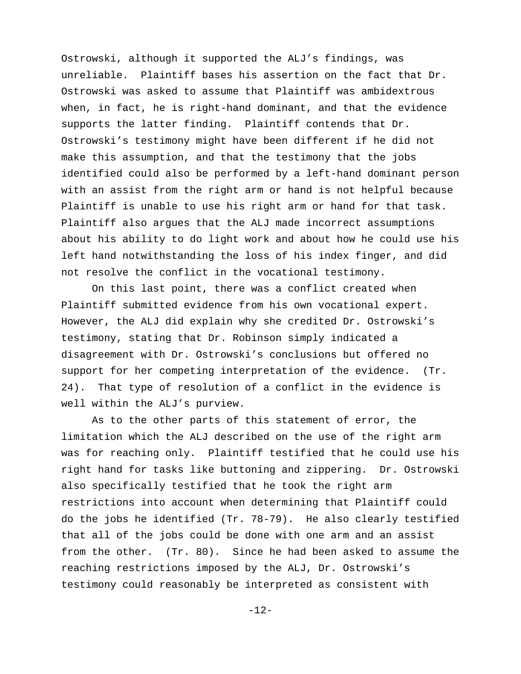Ostrowski, although it supported the ALJ's findings, was unreliable. Plaintiff bases his assertion on the fact that Dr. Ostrowski was asked to assume that Plaintiff was ambidextrous when, in fact, he is right-hand dominant, and that the evidence supports the latter finding. Plaintiff contends that Dr. Ostrowski's testimony might have been different if he did not make this assumption, and that the testimony that the jobs identified could also be performed by a left-hand dominant person with an assist from the right arm or hand is not helpful because Plaintiff is unable to use his right arm or hand for that task. Plaintiff also argues that the ALJ made incorrect assumptions about his ability to do light work and about how he could use his left hand notwithstanding the loss of his index finger, and did not resolve the conflict in the vocational testimony.

On this last point, there was a conflict created when Plaintiff submitted evidence from his own vocational expert. However, the ALJ did explain why she credited Dr. Ostrowski's testimony, stating that Dr. Robinson simply indicated a disagreement with Dr. Ostrowski's conclusions but offered no support for her competing interpretation of the evidence. (Tr. 24). That type of resolution of a conflict in the evidence is well within the ALJ's purview.

As to the other parts of this statement of error, the limitation which the ALJ described on the use of the right arm was for reaching only. Plaintiff testified that he could use his right hand for tasks like buttoning and zippering. Dr. Ostrowski also specifically testified that he took the right arm restrictions into account when determining that Plaintiff could do the jobs he identified (Tr. 78-79). He also clearly testified that all of the jobs could be done with one arm and an assist from the other. (Tr. 80). Since he had been asked to assume the reaching restrictions imposed by the ALJ, Dr. Ostrowski's testimony could reasonably be interpreted as consistent with

-12-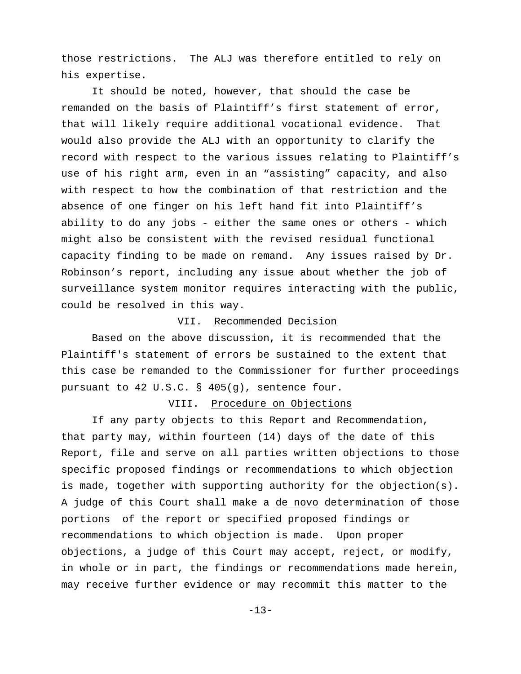those restrictions. The ALJ was therefore entitled to rely on his expertise.

It should be noted, however, that should the case be remanded on the basis of Plaintiff's first statement of error, that will likely require additional vocational evidence. That would also provide the ALJ with an opportunity to clarify the record with respect to the various issues relating to Plaintiff's use of his right arm, even in an "assisting" capacity, and also with respect to how the combination of that restriction and the absence of one finger on his left hand fit into Plaintiff's ability to do any jobs - either the same ones or others - which might also be consistent with the revised residual functional capacity finding to be made on remand. Any issues raised by Dr. Robinson's report, including any issue about whether the job of surveillance system monitor requires interacting with the public, could be resolved in this way.

## VII. Recommended Decision

Based on the above discussion, it is recommended that the Plaintiff's statement of errors be sustained to the extent that this case be remanded to the Commissioner for further proceedings pursuant to 42 U.S.C. § 405(g), sentence four.

## VIII. Procedure on Objections

If any party objects to this Report and Recommendation, that party may, within fourteen (14) days of the date of this Report, file and serve on all parties written objections to those specific proposed findings or recommendations to which objection is made, together with supporting authority for the objection(s). A judge of this Court shall make a de novo determination of those portions of the report or specified proposed findings or recommendations to which objection is made. Upon proper objections, a judge of this Court may accept, reject, or modify, in whole or in part, the findings or recommendations made herein, may receive further evidence or may recommit this matter to the